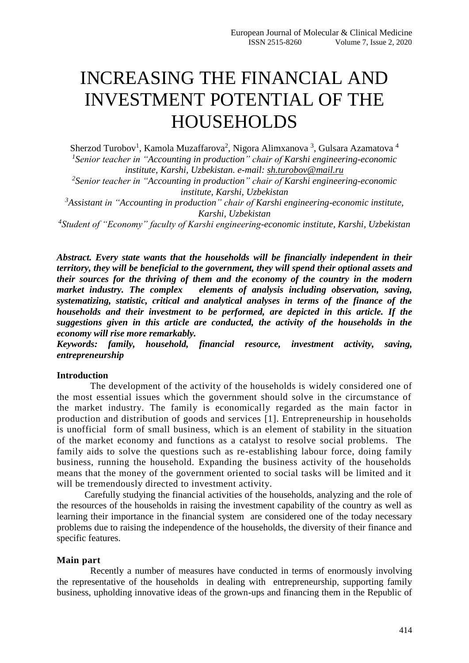# INCREASING THE FINANCIAL AND INVESTMENT POTENTIAL OF THE **HOUSEHOLDS**

Sherzod Turobov<sup>1</sup>, Kamola Muzaffarova<sup>2</sup>, Nigora Alimxanova <sup>3</sup>, Gulsara Azamatova <sup>4</sup> *1 Senior teacher in "Accounting in production" chair of Karshi engineering-economic institute, Karshi, Uzbekistan. e-mail: [sh.turobov@mail.ru](mailto:sh.turobov@mail.ru)*

*2 Senior teacher in "Accounting in production" chair of Karshi engineering-economic institute, Karshi, Uzbekistan*

*<sup>3</sup>Assistant in "Accounting in production" chair of Karshi engineering-economic institute, Karshi, Uzbekistan*

*4 Student of "Economy" faculty of Karshi engineering-economic institute, Karshi, Uzbekistan*

*Abstract. Every state wants that the households will be financially independent in their territory, they will be beneficial to the government, they will spend their optional assets and their sources for the thriving of them and the economy of the country in the modern market industry. The complex elements of analysis including observation, saving, systematizing, statistic, critical and analytical analyses in terms of the finance of the households and their investment to be performed, are depicted in this article. If the suggestions given in this article are conducted, the activity of the households in the economy will rise more remarkably.* 

*Keywords: family, household, financial resource, investment activity, saving, entrepreneurship*

### **Introduction**

The development of the activity of the households is widely considered one of the most essential issues which the government should solve in the circumstance of the market industry. The family is economically regarded as the main factor in production and distribution of goods and services [1]. Entrepreneurship in households is unofficial form of small business, which is an element of stability in the situation of the market economy and functions as a catalyst to resolve social problems. The family aids to solve the questions such as re-establishing labour force, doing family business, running the household. Expanding the business activity of the households means that the money of the government oriented to social tasks will be limited and it will be tremendously directed to investment activity.

Carefully studying the financial activities of the households, analyzing and the role of the resources of the households in raising the investment capability of the country as well as learning their importance in the financial system are considered one of the today necessary problems due to raising the independence of the households, the diversity of their finance and specific features.

#### **Main part**

Recently a number of measures have conducted in terms of enormously involving the representative of the households in dealing with entrepreneurship, supporting family business, upholding innovative ideas of the grown-ups and financing them in the Republic of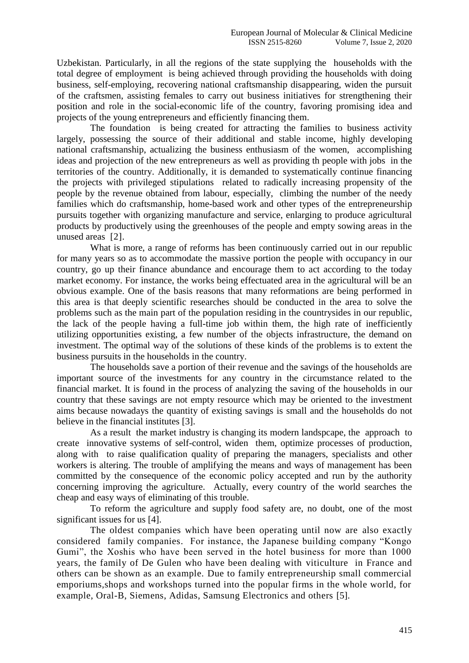Uzbekistan. Particularly, in all the regions of the state supplying the households with the total degree of employment is being achieved through providing the households with doing business, self-employing, recovering national craftsmanship disappearing, widen the pursuit of the craftsmen, assisting females to carry out business initiatives for strengthening their position and role in the social-economic life of the country, favoring promising idea and projects of the young entrepreneurs and efficiently financing them.

The foundation is being created for attracting the families to business activity largely, possessing the source of their additional and stable income, highly developing national craftsmanship, actualizing the business enthusiasm of the women, accomplishing ideas and projection of the new entrepreneurs as well as providing th people with jobs in the territories of the country. Additionally, it is demanded to systematically continue financing the projects with privileged stipulations related to radically increasing propensity of the people by the revenue obtained from labour, especially, climbing the number of the needy families which do craftsmanship, home-based work and other types of the entrepreneurship pursuits together with organizing manufacture and service, enlarging to produce agricultural products by productively using the greenhouses of the people and empty sowing areas in the unused areas [2].

What is more, a range of reforms has been continuously carried out in our republic for many years so as to accommodate the massive portion the people with occupancy in our country, go up their finance abundance and encourage them to act according to the today market economy. For instance, the works being effectuated area in the agricultural will be an obvious example. One of the basis reasons that many reformations are being performed in this area is that deeply scientific researches should be conducted in the area to solve the problems such as the main part of the population residing in the countrysides in our republic, the lack of the people having a full-time job within them, the high rate of inefficiently utilizing opportunities existing, a few number of the objects infrastructure, the demand on investment. The optimal way of the solutions of these kinds of the problems is to extent the business pursuits in the households in the country.

The households save a portion of their revenue and the savings of the households are important source of the investments for any country in the circumstance related to the financial market. It is found in the process of analyzing the saving of the households in our country that these savings are not empty resource which may be oriented to the investment aims because nowadays the quantity of existing savings is small and the households do not believe in the financial institutes [3].

As a result the market industry is changing its modern landspcape, the approach to create innovative systems of self-control, widen them, optimize processes of production, along with to raise qualification quality of preparing the managers, specialists and other workers is altering. The trouble of amplifying the means and ways of management has been committed by the consequence of the economic policy accepted and run by the authority concerning improving the agriculture. Actually, every country of the world searches the cheap and easy ways of eliminating of this trouble.

To reform the agriculture and supply food safety are, no doubt, one of the most significant issues for us [4].

The oldest companies which have been operating until now are also exactly considered family companies. For instance, the Japanese building company "Kongo Gumi", the Xoshis who have been served in the hotel business for more than 1000 years, the family of De Gulen who have been dealing with viticulture in France and others can be shown as an example. Due to family entrepreneurship small commercial emporiums,shops and workshops turned into the popular firms in the whole world, for example, Oral-B, Siemens, Adidas, Samsung Electronics and others [5].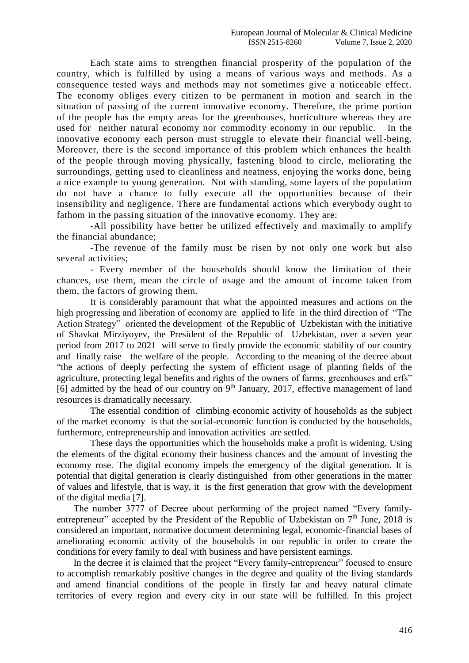Each state aims to strengthen financial prosperity of the population of the country, which is fulfilled by using a means of various ways and methods. As a consequence tested ways and methods may not sometimes give a noticeable effect. The economy obliges every citizen to be permanent in motion and search in the situation of passing of the current innovative economy. Therefore, the prime portion of the people has the empty areas for the greenhouses, horticulture whereas they are used for neither natural economy nor commodity economy in our republic. In the innovative economy each person must struggle to elevate their financial well-being. Moreover, there is the second importance of this problem which enhances the health of the people through moving physically, fastening blood to circle, meliorating the surroundings, getting used to cleanliness and neatness, enjoying the works done, being a nice example to young generation. Not with standing, some layers of the population do not have a chance to fully execute all the opportunities because of their insensibility and negligence. There are fundamental actions which everybody ought to fathom in the passing situation of the innovative economy. They are:

-All possibility have better be utilized effectively and maximally to amplify the financial abundance;

-The revenue of the family must be risen by not only one work but also several activities;

- Every member of the households should know the limitation of their chances, use them, mean the circle of usage and the amount of income taken from them, the factors of growing them.

It is considerably paramount that what the appointed measures and actions on the high progressing and liberation of economy are applied to life in the third direction of "The Action Strategy" oriented the development of the Republic of Uzbekistan with the initiative of Shavkat Mirziyoyev, the President of the Republic of Uzbekistan, over a seven year period from 2017 to 2021 will serve to firstly provide the economic stability of our country and finally raise the welfare of the people. According to the meaning of the decree about "the actions of deeply perfecting the system of efficient usage of planting fields of the agriculture, protecting legal benefits and rights of the owners of farms, greenhouses and erfs" [6] admitted by the head of our country on 9<sup>th</sup> January, 2017, effective management of land resources is dramatically necessary.

The essential condition of climbing economic activity of households as the subject of the market economy is that the social-economic function is conducted by the households, furthermore, entrepreneurship and innovation activities are settled.

These days the opportunities which the households make a profit is widening. Using the elements of the digital economy their business chances and the amount of investing the economy rose. The digital economy impels the emergency of the digital generation. It is potential that digital generation is clearly distinguished from other generations in the matter of values and lifestyle, that is way, it is the first generation that grow with the development of the digital media [7].

The number 3777 of Decree about performing of the project named "Every familyentrepreneur" accepted by the President of the Republic of Uzbekistan on  $7<sup>th</sup>$  June, 2018 is considered an important, normative document determining legal, economic-financial bases of ameliorating economic activity of the households in our republic in order to create the conditions for every family to deal with business and have persistent earnings.

In the decree it is claimed that the project "Every family-entrepreneur" focused to ensure to accomplish remarkably positive changes in the degree and quality of the living standards and amend financial conditions of the people in firstly far and heavy natural climate territories of every region and every city in our state will be fulfilled. In this project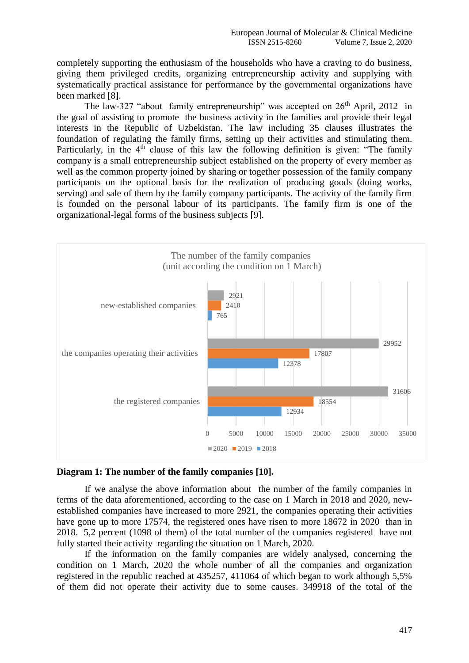completely supporting the enthusiasm of the households who have a craving to do business, giving them privileged credits, organizing entrepreneurship activity and supplying with systematically practical assistance for performance by the governmental organizations have been marked [8].

The law-327 "about family entrepreneurship" was accepted on  $26<sup>th</sup>$  April, 2012 in the goal of assisting to promote the business activity in the families and provide their legal interests in the Republic of Uzbekistan. The law including 35 clauses illustrates the foundation of regulating the family firms, setting up their activities and stimulating them. Particularly, in the  $4<sup>th</sup>$  clause of this law the following definition is given: "The family company is a small entrepreneurship subject established on the property of every member as well as the common property joined by sharing or together possession of the family company participants on the optional basis for the realization of producing goods (doing works, serving) and sale of them by the family company participants. The activity of the family firm is founded on the personal labour of its participants. The family firm is one of the organizational-legal forms of the business subjects [9].



#### **Diagram 1: The number of the family companies [10].**

If we analyse the above information about the number of the family companies in terms of the data aforementioned, according to the case on 1 March in 2018 and 2020, newestablished companies have increased to more 2921, the companies operating their activities have gone up to more 17574, the registered ones have risen to more 18672 in 2020 than in 2018. 5,2 percent (1098 of them) of the total number of the companies registered have not fully started their activity regarding the situation on 1 March, 2020.

If the information on the family companies are widely analysed, concerning the condition on 1 March, 2020 the whole number of all the companies and organization registered in the republic reached at 435257, 411064 of which began to work although 5,5% of them did not operate their activity due to some causes. 349918 of the total of the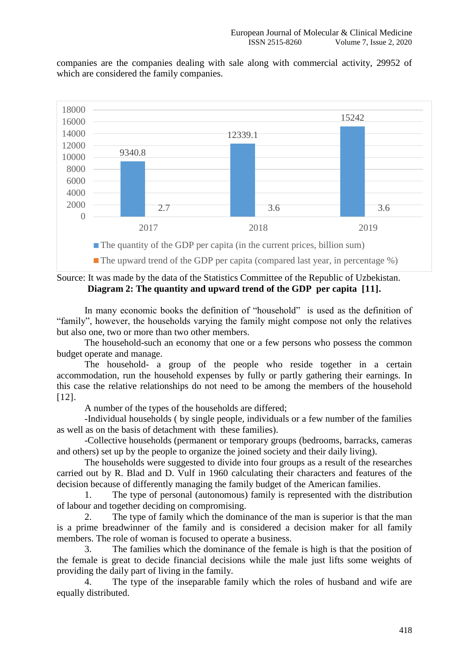companies are the companies dealing with sale along with commercial activity, 29952 of which are considered the family companies.



Source: It was made by the data of the Statistics Committee of the Republic of Uzbekistan. **Diagram 2: The quantity and upward trend of the GDP per capita [11].**

In many economic books the definition of "household" is used as the definition of "family", however, the households varying the family might compose not only the relatives but also one, two or more than two other members.

The household-such an economy that one or a few persons who possess the common budget operate and manage.

The household- a group of the people who reside together in a certain accommodation, run the household expenses by fully or partly gathering their earnings. In this case the relative relationships do not need to be among the members of the household [12].

A number of the types of the households are differed;

-Individual households ( by single people, individuals or a few number of the families as well as on the basis of detachment with these families).

-Collective households (permanent or temporary groups (bedrooms, barracks, cameras and others) set up by the people to organize the joined society and their daily living).

The households were suggested to divide into four groups as a result of the researches carried out by R. Blad and D. Vulf in 1960 calculating their characters and features of the decision because of differently managing the family budget of the American families.

1. The type of personal (autonomous) family is represented with the distribution of labour and together deciding on compromising.

2. The type of family which the dominance of the man is superior is that the man is a prime breadwinner of the family and is considered a decision maker for all family members. The role of woman is focused to operate a business.

3. The families which the dominance of the female is high is that the position of the female is great to decide financial decisions while the male just lifts some weights of providing the daily part of living in the family.

4. The type of the inseparable family which the roles of husband and wife are equally distributed.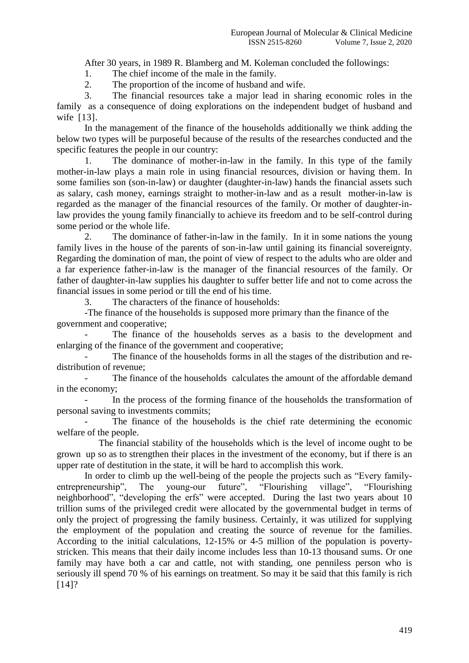After 30 years, in 1989 R. Blamberg and M. Koleman concluded the followings:

1. The chief income of the male in the family.

2. The proportion of the income of husband and wife.

3. The financial resources take a major lead in sharing economic roles in the family as a consequence of doing explorations on the independent budget of husband and wife [13].

In the management of the finance of the households additionally we think adding the below two types will be purposeful because of the results of the researches conducted and the specific features the people in our country:

1. The dominance of mother-in-law in the family. In this type of the family mother-in-law plays a main role in using financial resources, division or having them. In some families son (son-in-law) or daughter (daughter-in-law) hands the financial assets such as salary, cash money, earnings straight to mother-in-law and as a result mother-in-law is regarded as the manager of the financial resources of the family. Or mother of daughter-inlaw provides the young family financially to achieve its freedom and to be self-control during some period or the whole life.

2. The dominance of father-in-law in the family. In it in some nations the young family lives in the house of the parents of son-in-law until gaining its financial sovereignty. Regarding the domination of man, the point of view of respect to the adults who are older and a far experience father-in-law is the manager of the financial resources of the family. Or father of daughter-in-law supplies his daughter to suffer better life and not to come across the financial issues in some period or till the end of his time.

3. The characters of the finance of households:

-The finance of the households is supposed more primary than the finance of the government and cooperative;

The finance of the households serves as a basis to the development and enlarging of the finance of the government and cooperative;

The finance of the households forms in all the stages of the distribution and redistribution of revenue;

The finance of the households calculates the amount of the affordable demand in the economy;

In the process of the forming finance of the households the transformation of personal saving to investments commits;

The finance of the households is the chief rate determining the economic welfare of the people.

The financial stability of the households which is the level of income ought to be grown up so as to strengthen their places in the investment of the economy, but if there is an upper rate of destitution in the state, it will be hard to accomplish this work.

In order to climb up the well-being of the people the projects such as "Every familyentrepreneurship", The young-our future", "Flourishing village", "Flourishing neighborhood", "developing the erfs" were accepted. During the last two years about 10 trillion sums of the privileged credit were allocated by the governmental budget in terms of only the project of progressing the family business. Certainly, it was utilized for supplying the employment of the population and creating the source of revenue for the families. According to the initial calculations, 12-15% or 4-5 million of the population is povertystricken. This means that their daily income includes less than 10-13 thousand sums. Or one family may have both a car and cattle, not with standing, one penniless person who is seriously ill spend 70 % of his earnings on treatment. So may it be said that this family is rich  $[14]$ ?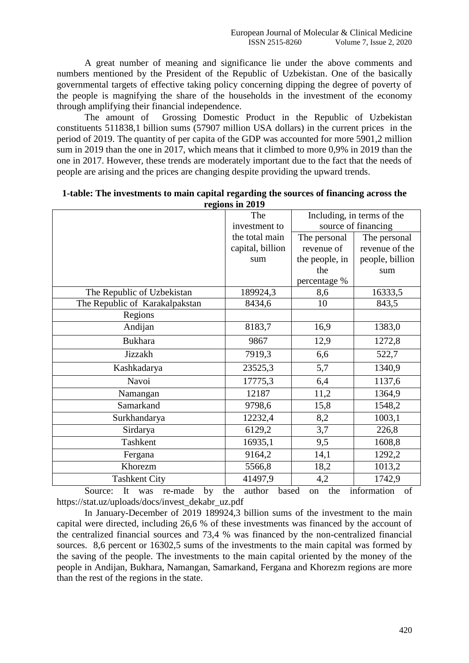A great number of meaning and significance lie under the above comments and numbers mentioned by the President of the Republic of Uzbekistan. One of the basically governmental targets of effective taking policy concerning dipping the degree of poverty of the people is magnifying the share of the households in the investment of the economy through amplifying their financial independence.

The amount of Grossing Domestic Product in the Republic of Uzbekistan constituents 511838,1 billion sums (57907 million USA dollars) in the current prices in the period of 2019. The quantity of per capita of the GDP was accounted for more 5901,2 million sum in 2019 than the one in 2017, which means that it climbed to more 0,9% in 2019 than the one in 2017. However, these trends are moderately important due to the fact that the needs of people are arising and the prices are changing despite providing the upward trends.

| rtziono in 2017                |                  |                            |                 |  |  |  |  |  |  |
|--------------------------------|------------------|----------------------------|-----------------|--|--|--|--|--|--|
|                                | The              | Including, in terms of the |                 |  |  |  |  |  |  |
|                                | investment to    | source of financing        |                 |  |  |  |  |  |  |
|                                | the total main   | The personal               | The personal    |  |  |  |  |  |  |
|                                | capital, billion | revenue of                 | revenue of the  |  |  |  |  |  |  |
|                                | sum              | the people, in             | people, billion |  |  |  |  |  |  |
|                                |                  | the                        | sum             |  |  |  |  |  |  |
|                                |                  | percentage %               |                 |  |  |  |  |  |  |
| The Republic of Uzbekistan     | 189924,3         | 8,6                        | 16333,5         |  |  |  |  |  |  |
| The Republic of Karakalpakstan | 8434,6           | 10                         | 843,5           |  |  |  |  |  |  |
| Regions                        |                  |                            |                 |  |  |  |  |  |  |
| Andijan                        | 8183,7           | 16,9                       | 1383,0          |  |  |  |  |  |  |
| <b>Bukhara</b>                 | 9867             | 12,9                       | 1272,8          |  |  |  |  |  |  |
| Jizzakh                        | 7919,3           | 6,6                        | 522,7           |  |  |  |  |  |  |
| Kashkadarya                    | 23525,3          | 5,7                        | 1340,9          |  |  |  |  |  |  |
| Navoi                          | 17775,3          | 6,4                        | 1137,6          |  |  |  |  |  |  |
| Namangan                       | 12187            | 11,2                       | 1364,9          |  |  |  |  |  |  |
| Samarkand                      | 9798,6           | 15,8                       | 1548,2          |  |  |  |  |  |  |
| Surkhandarya                   | 12232,4          | 8,2                        | 1003,1          |  |  |  |  |  |  |
| Sirdarya                       | 6129,2           | 3,7                        | 226,8           |  |  |  |  |  |  |
| Tashkent                       | 16935,1          | 9,5                        | 1608,8          |  |  |  |  |  |  |
| Fergana                        | 9164,2           | 14,1                       | 1292,2          |  |  |  |  |  |  |
| Khorezm                        | 5566,8           | 18,2                       | 1013,2          |  |  |  |  |  |  |
| <b>Tashkent City</b>           | 41497,9          | 4,2                        | 1742,9          |  |  |  |  |  |  |

| 1-table: The investments to main capital regarding the sources of financing across the |  |
|----------------------------------------------------------------------------------------|--|
| regions in 2019                                                                        |  |

Source: It was re-made by the author based on the information of [https://stat.uz/uploads/docs/invest\\_dekabr\\_uz.pdf](https://stat.uz/uploads/docs/invest_dekabr_uz.pdf)

In January-December of 2019 189924,3 billion sums of the investment to the main capital were directed, including 26,6 % of these investments was financed by the account of the centralized financial sources and 73,4 % was financed by the non-centralized financial sources. 8,6 percent or 16302,5 sums of the investments to the main capital was formed by the saving of the people. The investments to the main capital oriented by the money of the people in Andijan, Bukhara, Namangan, Samarkand, Fergana and Khorezm regions are more than the rest of the regions in the state.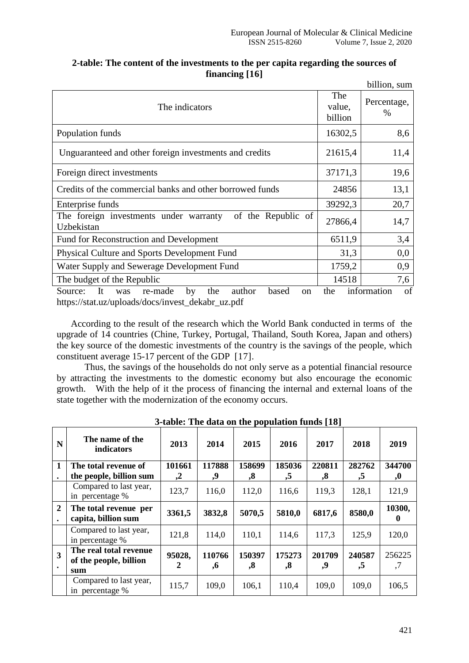|                                                                                                                                       |                          | billion, sum        |  |
|---------------------------------------------------------------------------------------------------------------------------------------|--------------------------|---------------------|--|
| The indicators                                                                                                                        | The<br>value,<br>billion | Percentage,<br>$\%$ |  |
| Population funds                                                                                                                      | 16302,5                  | 8,6                 |  |
| Unguaranteed and other foreign investments and credits                                                                                | 21615,4                  | 11,4                |  |
| Foreign direct investments                                                                                                            | 37171,3                  | 19,6                |  |
| Credits of the commercial banks and other borrowed funds                                                                              | 24856                    | 13,1                |  |
| Enterprise funds                                                                                                                      | 39292,3                  | 20,7                |  |
| of the Republic of<br>The foreign investments under warranty<br>Uzbekistan                                                            | 27866,4                  | 14,7                |  |
| Fund for Reconstruction and Development                                                                                               | 6511,9                   | 3,4                 |  |
| <b>Physical Culture and Sports Development Fund</b>                                                                                   | 31,3                     | 0,0                 |  |
| Water Supply and Sewerage Development Fund                                                                                            | 1759,2                   | 0,9                 |  |
| The budget of the Republic                                                                                                            | 14518                    | 7,6                 |  |
| It<br>by<br>based<br>Source:<br>re-made<br>the<br>author<br>was<br><sub>on</sub><br>https://stat.uz/uploads/docs/invest_dekabr_uz.pdf | the                      | information<br>of   |  |

## **2-table: The content of the investments to the per capita regarding the sources of financing [16]**

 According to the result of the research which the World Bank conducted in terms of the upgrade of 14 countries (Chine, Turkey, Portugal, Thailand, South Korea, Japan and others) the key source of the domestic investments of the country is the savings of the people, which constituent average 15-17 percent of the GDP [17].

Thus, the savings of the households do not only serve as a potential financial resource by attracting the investments to the domestic economy but also encourage the economic growth. With the help of it the process of financing the internal and external loans of the state together with the modernization of the economy occurs.

|                                      | $P - P - P - P$                                         |              |              |                             |                             |                   |              |              |
|--------------------------------------|---------------------------------------------------------|--------------|--------------|-----------------------------|-----------------------------|-------------------|--------------|--------------|
| N                                    | The name of the<br>indicators                           | 2013         | 2014         | 2015                        | 2016                        | 2017              | 2018         | 2019         |
| 1                                    | The total revenue of                                    | 101661       | 117888       | 158699                      | 185036                      | 220811            | 282762       | 344700       |
| $\bullet$                            | the people, billion sum                                 | $\mathbf{Z}$ | 9,           | $\boldsymbol{.8}$           | ,5                          | $\boldsymbol{.8}$ | ,5           | ,0           |
|                                      | Compared to last year,<br>in percentage %               | 123,7        | 116,0        | 112,0                       | 116,6                       | 119,3             | 128,1        | 121,9        |
| $\overline{2}$<br>$\bullet$          | The total revenue per<br>capita, billion sum            | 3361,5       | 3832,8       | 5070,5                      | 5810,0                      | 6817,6            | 8580,0       | 10300,       |
|                                      | Compared to last year,<br>in percentage %               | 121,8        | 114,0        | 110,1                       | 114,6                       | 117.3             | 125,9        | 120,0        |
| $\overline{\mathbf{3}}$<br>$\bullet$ | The real total revenue<br>of the people, billion<br>sum | 95028,<br>2  | 110766<br>,6 | 150397<br>$\boldsymbol{.8}$ | 175273<br>$\boldsymbol{.8}$ | 201709<br>9,      | 240587<br>,5 | 256225<br>,7 |
|                                      | Compared to last year,<br>in percentage %               | 115,7        | 109,0        | 106,1                       | 110,4                       | 109,0             | 109,0        | 106,5        |

**3-table: The data on the population funds [18]**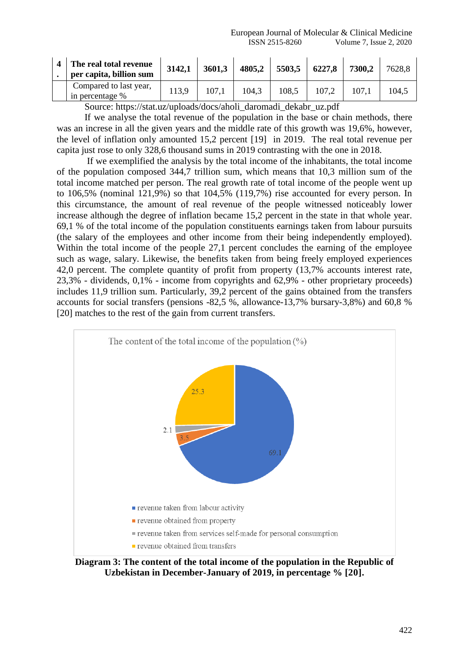| The real total revenue<br>per capita, billion sum | 3142,1 | 3601,3 | 4805,2 | 5503,5 | 6227,8 | 7300.2 | 7628,8 |
|---------------------------------------------------|--------|--------|--------|--------|--------|--------|--------|
| Compared to last year,<br>in percentage %         | 113.9  | 107,1  | 104.3  | 108.5  | 107,2  | 107.1  | 104.5  |

Source: [https://stat.uz/uploads/docs/aholi\\_daromadi\\_dekabr\\_uz.pdf](https://stat.uz/uploads/docs/aholi_daromadi_dekabr_uz.pdf)

If we analyse the total revenue of the population in the base or chain methods, there was an increse in all the given years and the middle rate of this growth was 19,6%, however, the level of inflation only amounted 15,2 percent [19] in 2019. The real total revenue per capita just rose to only 328,6 thousand sums in 2019 contrasting with the one in 2018.

If we exemplified the analysis by the total income of the inhabitants, the total income of the population composed 344,7 trillion sum, which means that 10,3 million sum of the total income matched per person. The real growth rate of total income of the people went up to 106,5% (nominal 121,9%) so that 104,5% (119,7%) rise accounted for every person. In this circumstance, the amount of real revenue of the people witnessed noticeably lower increase although the degree of inflation became 15,2 percent in the state in that whole year. 69,1 % of the total income of the population constituents earnings taken from labour pursuits (the salary of the employees and other income from their being independently employed). Within the total income of the people 27,1 percent concludes the earning of the employee such as wage, salary. Likewise, the benefits taken from being freely employed experiences 42,0 percent. The complete quantity of profit from property (13,7% accounts interest rate, 23,3% - dividends, 0,1% - income from copyrights and 62,9% - other proprietary proceeds) includes 11,9 trillion sum. Particularly, 39,2 percent of the gains obtained from the transfers accounts for social transfers (pensions -82,5 %, allowance-13,7% bursary-3,8%) and 60,8 % [20] matches to the rest of the gain from current transfers.



**Diagram 3: The content of the total income of the population in the Republic of Uzbekistan in December-January of 2019, in percentage % [20].**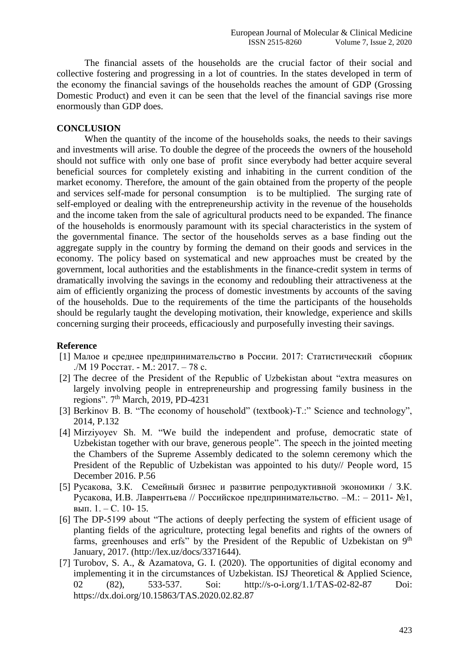The financial assets of the households are the crucial factor of their social and collective fostering and progressing in a lot of countries. In the states developed in term of the economy the financial savings of the households reaches the amount of GDP (Grossing Domestic Product) and even it can be seen that the level of the financial savings rise more enormously than GDP does.

### **CONCLUSION**

When the quantity of the income of the households soaks, the needs to their savings and investments will arise. To double the degree of the proceeds the owners of the household should not suffice with only one base of profit since everybody had better acquire several beneficial sources for completely existing and inhabiting in the current condition of the market economy. Therefore, the amount of the gain obtained from the property of the people and services self-made for personal consumption is to be multiplied. The surging rate of self-employed or dealing with the entrepreneurship activity in the revenue of the households and the income taken from the sale of agricultural products need to be expanded. The finance of the households is enormously paramount with its special characteristics in the system of the governmental finance. The sector of the households serves as a base finding out the aggregate supply in the country by forming the demand on their goods and services in the economy. The policy based on systematical and new approaches must be created by the government, local authorities and the establishments in the finance-credit system in terms of dramatically involving the savings in the economy and redoubling their attractiveness at the aim of efficiently organizing the process of domestic investments by accounts of the saving of the households. Due to the requirements of the time the participants of the households should be regularly taught the developing motivation, their knowledge, experience and skills concerning surging their proceeds, efficaciously and purposefully investing their savings.

## **Reference**

- [1] Малое и среднее предпринимательство в России. 2017: Статистический сборник ./М 19 Росстат. - M.: 2017. – 78 с.
- [2] The decree of the President of the Republic of Uzbekistan about "extra measures on largely involving people in entrepreneurship and progressing family business in the regions". 7th March, 2019, PD-4231
- [3] Berkinov B. B. "The economy of household" (textbook)-T.:" Science and technology", 2014, P.132
- [4] Mirziyoyev Sh. M. "We build the independent and profuse, democratic state of Uzbekistan together with our brave, generous people". The speech in the jointed meeting the Chambers of the Supreme Assembly dedicated to the solemn ceremony which the President of the Republic of Uzbekistan was appointed to his duty// People word, 15 December 2016. P.56
- [5] Русакова, З.К. Семейный бизнес и развитие репродуктивной экономики / З.К. Русакова, И.В. Лаврентьева // Российское предпринимательство. –М.: – 2011- №1, вып. 1. – С. 10- 15.
- [6] The DP-5199 about "The actions of deeply perfecting the system of efficient usage of planting fields of the agriculture, protecting legal benefits and rights of the owners of farms, greenhouses and erfs" by the President of the Republic of Uzbekistan on 9<sup>th</sup> January, 2017. [\(http://lex.uz/docs/3371644\)](http://lex.uz/docs/3371644).
- [7] Turobov, S. A., & Azamatova, G. I. (2020). The opportunities of digital economy and implementing it in the circumstances of Uzbekistan. ISJ Theoretical & Applied Science, 02 (82), 533-537. Soi: <http://s-o-i.org/1.1/TAS-02-82-87> Doi: https://dx.doi.org/10.15863/TAS.2020.02.82.87